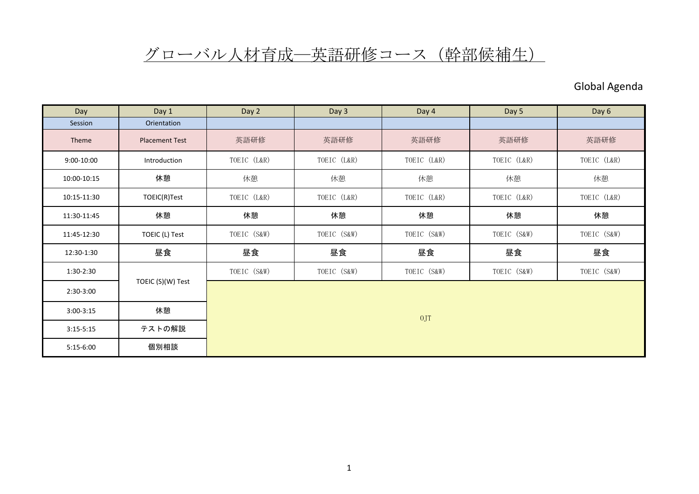## グローバル人材育成一英語研修コース (幹部候補生)

## Global Agenda

| Day           | Day 1                 | Day 2       | Day 3       | Day 4       | Day 5       | Day 6       |  |
|---------------|-----------------------|-------------|-------------|-------------|-------------|-------------|--|
| Session       | Orientation           |             |             |             |             |             |  |
| Theme         | <b>Placement Test</b> | 英語研修        | 英語研修        | 英語研修        | 英語研修        | 英語研修        |  |
| 9:00-10:00    | Introduction          | TOEIC (L&R) | TOEIC (L&R) | TOEIC (L&R) | TOEIC (L&R) | TOEIC (L&R) |  |
| 10:00-10:15   | 休憩                    | 休憩          | 休憩          | 休憩          | 休憩          | 休憩          |  |
| 10:15-11:30   | TOEIC(R)Test          | TOEIC (L&R) | TOEIC (L&R) | TOEIC (L&R) | TOEIC (L&R) | TOEIC (L&R) |  |
| 11:30-11:45   | 休憩                    | 休憩          | 休憩          | 休憩          | 休憩          | 休憩          |  |
| 11:45-12:30   | TOEIC (L) Test        | TOEIC (S&W) | TOEIC (S&W) | TOEIC (S&W) | TOEIC (S&W) | TOEIC (S&W) |  |
| 12:30-1:30    | 昼食                    | 昼食          | 昼食          | 昼食          | 昼食          | 昼食          |  |
| 1:30-2:30     |                       | TOEIC (S&W) | TOEIC (S&W) | TOEIC (S&W) | TOEIC (S&W) | TOEIC (S&W) |  |
| 2:30-3:00     | TOEIC (S)(W) Test     | 0JT         |             |             |             |             |  |
| $3:00 - 3:15$ | 休憩                    |             |             |             |             |             |  |
| $3:15 - 5:15$ | テストの解説                |             |             |             |             |             |  |
| $5:15-6:00$   | 個別相談                  |             |             |             |             |             |  |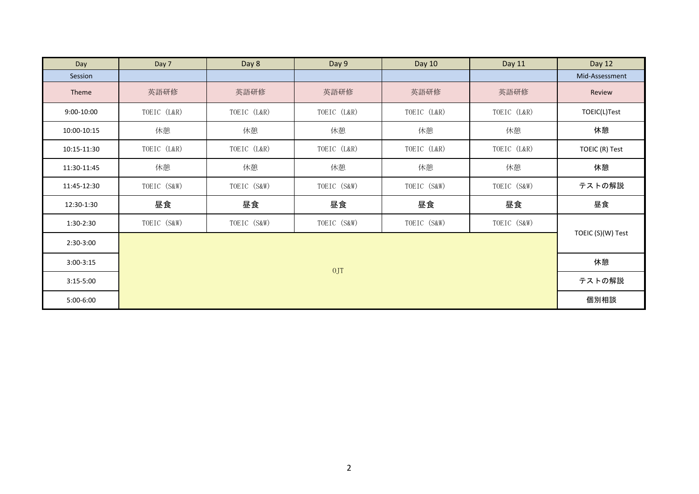| Day         | Day 7       | Day 8       | Day 9       | Day 10      | Day 11      | Day 12            |
|-------------|-------------|-------------|-------------|-------------|-------------|-------------------|
| Session     |             |             |             |             |             | Mid-Assessment    |
| Theme       | 英語研修        | 英語研修        | 英語研修        | 英語研修        | 英語研修        | Review            |
| 9:00-10:00  | TOEIC (L&R) | TOEIC (L&R) | TOEIC (L&R) | TOEIC (L&R) | TOEIC (L&R) | TOEIC(L)Test      |
| 10:00-10:15 | 休憩          | 休憩          | 休憩          | 休憩          | 休憩          | 休憩                |
| 10:15-11:30 | TOEIC (L&R) | TOEIC (L&R) | TOEIC (L&R) | TOEIC (L&R) | TOEIC (L&R) | TOEIC (R) Test    |
| 11:30-11:45 | 休憩          | 休憩          | 休憩          | 休憩          | 休憩          | 休憩                |
| 11:45-12:30 | TOEIC (S&W) | TOEIC (S&W) | TOEIC (S&W) | TOEIC (S&W) | TOEIC (S&W) | テストの解説            |
| 12:30-1:30  | 昼食          | 昼食          | 昼食          | 昼食          | 昼食          | 昼食                |
| 1:30-2:30   | TOEIC (S&W) | TOEIC (S&W) | TOEIC (S&W) | TOEIC (S&W) | TOEIC (S&W) |                   |
| 2:30-3:00   |             |             |             |             |             | TOEIC (S)(W) Test |
| $3:00-3:15$ | 0JT         |             |             |             |             | 休憩                |
| $3:15-5:00$ |             |             |             |             |             | テストの解説            |
| 5:00-6:00   |             |             |             |             |             | 個別相談              |